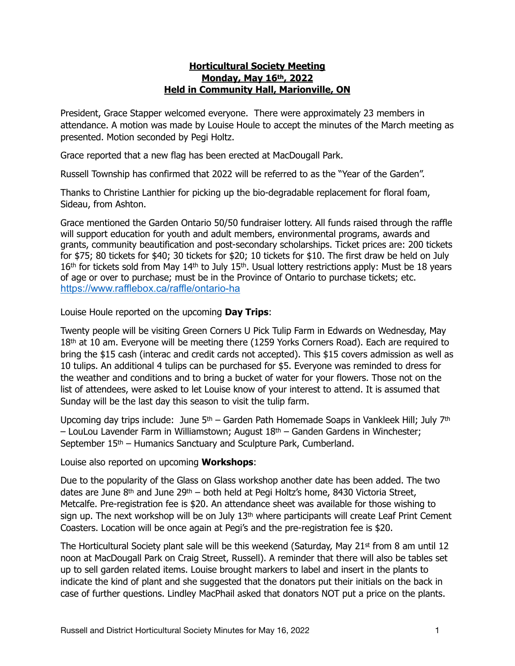## **Horticultural Society Meeting Monday, May 16th, 2022 Held in Community Hall, Marionville, ON**

President, Grace Stapper welcomed everyone. There were approximately 23 members in attendance. A motion was made by Louise Houle to accept the minutes of the March meeting as presented. Motion seconded by Pegi Holtz.

Grace reported that a new flag has been erected at MacDougall Park.

Russell Township has confirmed that 2022 will be referred to as the "Year of the Garden".

Thanks to Christine Lanthier for picking up the bio-degradable replacement for floral foam, Sideau, from Ashton.

Grace mentioned the Garden Ontario 50/50 fundraiser lottery. All funds raised through the raffle will support education for youth and adult members, environmental programs, awards and grants, community beautification and post-secondary scholarships. Ticket prices are: 200 tickets for \$75; 80 tickets for \$40; 30 tickets for \$20; 10 tickets for \$10. The first draw be held on July 16th for tickets sold from May 14th to July 15th. Usual lottery restrictions apply: Must be 18 years of age or over to purchase; must be in the Province of Ontario to purchase tickets; etc. <https://www.rafflebox.ca/raffle/ontario-ha>

Louise Houle reported on the upcoming **Day Trips**:

Twenty people will be visiting Green Corners U Pick Tulip Farm in Edwards on Wednesday, May 18th at 10 am. Everyone will be meeting there (1259 Yorks Corners Road). Each are required to bring the \$15 cash (interac and credit cards not accepted). This \$15 covers admission as well as 10 tulips. An additional 4 tulips can be purchased for \$5. Everyone was reminded to dress for the weather and conditions and to bring a bucket of water for your flowers. Those not on the list of attendees, were asked to let Louise know of your interest to attend. It is assumed that Sunday will be the last day this season to visit the tulip farm.

Upcoming day trips include: June 5<sup>th</sup> – Garden Path Homemade Soaps in Vankleek Hill; July 7<sup>th</sup> – LouLou Lavender Farm in Williamstown; August 18th – Ganden Gardens in Winchester; September 15<sup>th</sup> – Humanics Sanctuary and Sculpture Park, Cumberland.

Louise also reported on upcoming **Workshops**:

Due to the popularity of the Glass on Glass workshop another date has been added. The two dates are June  $8<sup>th</sup>$  and June  $29<sup>th</sup>$  – both held at Pegi Holtz's home, 8430 Victoria Street, Metcalfe. Pre-registration fee is \$20. An attendance sheet was available for those wishing to sign up. The next workshop will be on July 13<sup>th</sup> where participants will create Leaf Print Cement Coasters. Location will be once again at Pegi's and the pre-registration fee is \$20.

The Horticultural Society plant sale will be this weekend (Saturday, May  $21<sup>st</sup>$  from 8 am until 12 noon at MacDougall Park on Craig Street, Russell). A reminder that there will also be tables set up to sell garden related items. Louise brought markers to label and insert in the plants to indicate the kind of plant and she suggested that the donators put their initials on the back in case of further questions. Lindley MacPhail asked that donators NOT put a price on the plants.